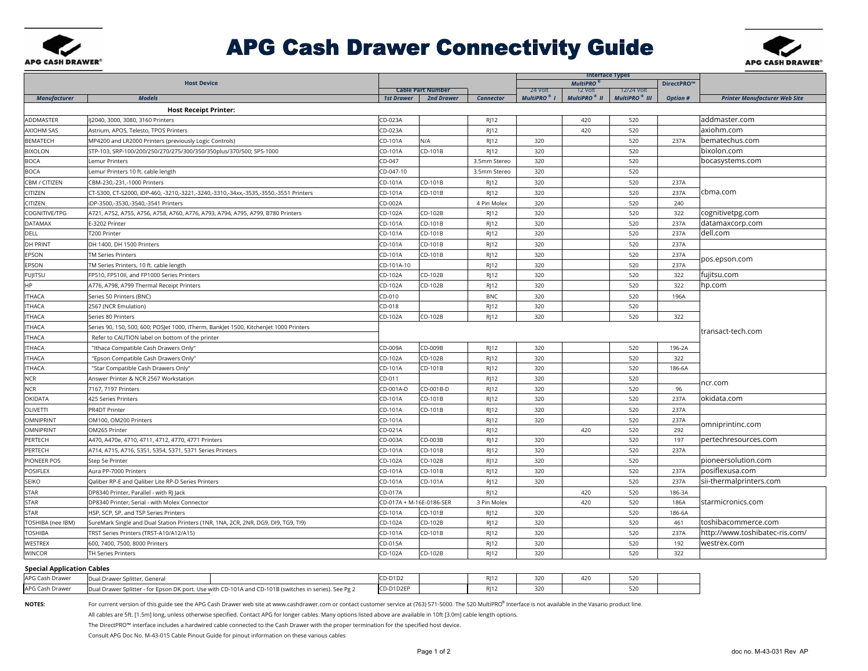

## **APG Cash Drawer Connectivity Guide**



|                     |                                                                                       |                          | <b>Cable Part Number</b> |                  | <b>Interface Types</b>                      |                          |                           |                |                                      |  |
|---------------------|---------------------------------------------------------------------------------------|--------------------------|--------------------------|------------------|---------------------------------------------|--------------------------|---------------------------|----------------|--------------------------------------|--|
|                     | <b>Host Device</b>                                                                    |                          |                          |                  | MultiPRO <sup>®</sup><br>24 Volt<br>12 Volt |                          | 12/24 Volt                | DirectPRO™     |                                      |  |
| <b>Manufacturer</b> | <b>Models</b>                                                                         | <b>1st Drawer</b>        | <b>2nd Drawer</b>        | <b>Connector</b> | <b>MultiPRO</b> <sup>®</sup>                | MultiPRO <sup>®</sup> II | MultiPRO <sup>®</sup> III | <b>Option#</b> | <b>Printer Manufacturer Web Site</b> |  |
|                     | <b>Host Receipt Printer:</b>                                                          |                          |                          |                  |                                             |                          |                           |                |                                      |  |
| ADDMASTER           | IJ2040, 3000, 3080, 3160 Printers                                                     | CD-023A                  |                          | <b>RJ12</b>      |                                             | 420                      | 520                       |                | addmaster.com                        |  |
| <b>AXIOHM SAS</b>   | Astrium, APOS, Telesto, TPOS Printers                                                 | CD-023A                  |                          | RJ12             |                                             | 420                      | 520                       |                | axiohm.com                           |  |
| <b>BEMATECH</b>     | MP4200 and LR2000 Printers (previously Logic Controls)                                | CD-101A                  | N/A                      | RJ12             | 320                                         |                          | 520                       | 237A           | lbematechus.com                      |  |
| <b>BIXOLON</b>      | STP-103, SRP-100/200/250/270/275/300/350/350plus/370/500; SPS-1000                    | CD-101A                  | CD-101B                  | RJ12             | 320                                         |                          | 520                       |                | bixolon.com                          |  |
| <b>BOCA</b>         | <b>Lemur Printers</b>                                                                 | CD-047                   |                          | 3.5mm Stereo     | 320                                         |                          | 520                       |                | bocasystems.com                      |  |
| <b>BOCA</b>         | Lemur Printers 10 ft. cable length                                                    | CD-047-10                |                          | 3.5mm Stereo     | 320                                         |                          | 520                       |                |                                      |  |
| CBM / CITIZEN       | CBM-230,-231,-1000 Printers                                                           | CD-101A                  | CD-101B                  | RJ12             | 320                                         |                          | 520                       | 237A           |                                      |  |
| CITIZEN             | CT-S300, CT-S2000, iDP-460, -3210,-3221,-3240,-3310,-34xx,-3535,-3550,-3551 Printers  | CD-101A                  | CD-101B                  | <b>RJ12</b>      | 320                                         |                          | 520                       | 237A           | cbma.com                             |  |
| CITIZEN             | iDP-3500,-3530,-3540,-3541 Printers                                                   | CD-002A                  |                          | 4 Pin Molex      | 320                                         |                          | 520                       | 240            |                                      |  |
| COGNITIVE/TPG       | A721, A752, A755, A756, A758, A760, A776, A793, A794, A795, A799, B780 Printers       | CD-102A                  | CD-102B                  | $R$  12          | 320                                         |                          | 520                       | 322            | cognitivetpg.com                     |  |
| DATAMAX             | E-3202 Printer                                                                        | CD-101A                  | CD-101B                  | <b>RJ12</b>      | 320                                         |                          | 520                       | 237A           | datamaxcorp.com                      |  |
| DELL                | T200 Printer                                                                          | CD-101A                  | CD-101B                  | <b>RJ12</b>      | 320                                         |                          | 520                       | 237A           | ldell.com                            |  |
| <b>DH PRINT</b>     | DH 1400, DH 1500 Printers                                                             | CD-101A                  | CD-101B                  | RJ12             | 320                                         |                          | 520                       | 237A           |                                      |  |
| EPSON               | <b>TM Series Printers</b>                                                             | CD-101A                  | CD-101B                  | <b>RJ12</b>      | 320                                         |                          | 520                       | 237A           |                                      |  |
| EPSON               | TM Series Printers, 10 ft. cable length                                               | CD-101A-10               |                          | $R$  12          | 320                                         |                          | 520                       | 237A           | pos.epson.com                        |  |
| <b>FUJITSU</b>      | FP510, FP510II, and FP1000 Series Printers                                            | CD-102A                  | CD-102B                  | $R$  12          | 320                                         |                          | 520                       | 322            | fujitsu.com                          |  |
| HP                  | A776, A798, A799 Thermal Receipt Printers                                             | CD-102A                  | CD-102B                  | RJ12             | 320                                         |                          | 520                       | 322            | hp.com                               |  |
| <b>ITHACA</b>       | Series 50 Printers (BNC)                                                              | CD-010                   |                          | <b>BNC</b>       | 320                                         |                          | 520                       | 196A           |                                      |  |
| <b>THACA</b>        | 2567 (NCR Emulation)                                                                  | CD-018                   |                          | RJ12             | 320                                         |                          | 520                       |                |                                      |  |
| <b>ITHACA</b>       | Series 80 Printers                                                                    | CD-102A                  | CD-102B                  | $R$  12          | 320                                         |                          | 520                       | 322            |                                      |  |
| ITHACA              | Series 90, 150, 500, 600; POSJet 1000, iTherm, BankJet 1500, KitchenJet 1000 Printers |                          |                          |                  |                                             |                          |                           |                | transact-tech.com                    |  |
| <b>ITHACA</b>       | Refer to CAUTION label on bottom of the printer                                       |                          |                          |                  |                                             |                          |                           |                |                                      |  |
| <b>ITHACA</b>       | "Ithaca Compatible Cash Drawers Only"                                                 | CD-009A                  | CD-009B                  | RJ12             | 320                                         |                          | 520                       | 196-2A         |                                      |  |
| <b>ITHACA</b>       | "Epson Compatible Cash Drawers Only"                                                  | CD-102A                  | CD-102B                  | RJ12             | 320                                         |                          | 520                       | 322            |                                      |  |
| <b>THACA</b>        | "Star Compatible Cash Drawers Only"                                                   | CD-101A                  | CD-101B                  | <b>RJ12</b>      | 320                                         |                          | 520                       | 186-6A         |                                      |  |
| <b>NCR</b>          | Answer Printer & NCR 2567 Workstation                                                 | CD-011                   |                          | $R$  12          | 320                                         |                          | 520                       |                |                                      |  |
| <b>NCR</b>          | 7167, 7197 Printers                                                                   | CD-001A-D                | CD-001B-D                | <b>RJ12</b>      | 320                                         |                          | 520                       | 96             | ncr.com                              |  |
| OKIDATA             | 425 Series Printers                                                                   | CD-101A                  | CD-101B                  | <b>RJ12</b>      | 320                                         |                          | 520                       | 237A           | lokidata.com                         |  |
| OLIVETTI            | PR4DT Printer                                                                         | CD-101A                  | CD-101B                  | RJ12             | 320                                         |                          | 520                       | 237A           |                                      |  |
| OMNIPRINT           | OM100, OM200 Printers                                                                 | CD-101A                  |                          | <b>RJ12</b>      | 320                                         |                          | 520                       | 237A           | omniprintinc.com                     |  |
| OMNIPRINT           | OM265 Printer                                                                         | CD-021A                  |                          | $R$  12          |                                             | 420                      | 520                       | 292            |                                      |  |
| PERTECH             | A470, A470e, 4710, 4711, 4712, 4770, 4771 Printers                                    | CD-003A                  | CD-003B                  | RJ12             | 320                                         |                          | 520                       | 197            | pertechresources.com                 |  |
| PERTECH             | A714, A715, A716, 5351, 5354, 5371, 5371 Series Printers                              | CD-101A                  | CD-101B                  | RJ12             | 320                                         |                          | 520                       | 237A           |                                      |  |
| <b>PIONEER POS</b>  | Step 5e Printer                                                                       | CD-102A                  | CD-102B                  | <b>RJ12</b>      | 320                                         |                          | 520                       |                | pioneersolution.com                  |  |
| <b>POSIFLEX</b>     | Aura PP-7000 Printers                                                                 | CD-101A                  | CD-101B                  | RJ12             | 320                                         |                          | 520                       | 237A           | posiflexusa.com                      |  |
| SEIKO               | Qaliber RP-E and Qaliber Lite RP-D Series Printers                                    | CD-101A                  | CD-101A                  | RJ12             | 320                                         |                          | 520                       | 237A           | sii-thermalprinters.com              |  |
| <b>STAR</b>         | DP8340 Printer, Parallel - with RJ Jack                                               | CD-017A                  |                          | $R$  12          |                                             | 420                      | 520                       | 186-3A         |                                      |  |
| <b>STAR</b>         | DP8340 Printer, Serial - with Molex Connector                                         | CD-017A + M-16E-0186-SER |                          | 3 Pin Molex      |                                             | 420                      | 520                       | 186A           | starmicronics.com                    |  |
| STAR                | HSP, SCP, SP, and TSP Series Printers                                                 | CD-101A                  | CD-101B                  | RJ12             | 320                                         |                          | 520                       | 186-6A         |                                      |  |
| TOSHIBA (nee IBM)   | SureMark Single and Dual Station Printers (1NR, 1NA, 2CR, 2NR, DG9, DI9, TG9, TI9)    | CD-102A                  | CD-102B                  | <b>RJ12</b>      | 320                                         |                          | 520                       | 461            | toshibacommerce.com                  |  |
| <b>TOSHIBA</b>      | TRST Series Printers (TRST-A10/A12/A15)                                               | CD-101A                  | CD-101B                  | RJ12             | 320                                         |                          | 520                       | 237A           | http://www.toshibatec-ris.com/       |  |
| WESTREX             | 600, 7400, 7500, 8000 Printers                                                        | CD-015A                  |                          | RJ12             | 320                                         |                          | 520                       | 192            | westrex.com                          |  |
| <b>WINCOR</b>       | <b>TH Series Printers</b>                                                             | CD-102A                  | CD-102B                  | RJ12             | 320                                         |                          | 520                       | 322            |                                      |  |

## **Special Application Cables**

| .               |                               |                                                                                    |           |  |                 |     |     |             |  |  |
|-----------------|-------------------------------|------------------------------------------------------------------------------------|-----------|--|-----------------|-----|-----|-------------|--|--|
| APG Cash Drawer | Dual Drawer Splitter, General |                                                                                    | CD-D1D2   |  | DIA O<br>11 I Z | 320 | 121 | $-0$<br>520 |  |  |
| APG Cash Drawer | Dual Drawer Splitter -        | r - for Epson DK port. Use with CD-101A and CD-101B (switches in series). See Pg 2 | CD-D1D2EP |  | DIA O<br>l I 2  | 320 |     | $-0$<br>520 |  |  |
|                 |                               |                                                                                    |           |  |                 |     |     |             |  |  |

## **NOTES:**

For current version of this guide see the APG Cash Drawer web site at www.cashdrawer.com or contact customer service at (763) 571-5000. The 520 MultiPRO® Interface is not available in the Vasario product line.

All cables are 5ft. [1.5m] long, unless otherwise specified. Contact APG for longer cables. Many options listed above are available in 10ft [3.0m] cable length options.

The DirectPRO™ interface includes a hardwired cable connected to the Cash Drawer with the proper termination for the specified host device.

Consult APG Doc No. M-43-015 Cable Pinout Guide for pinout information on these various cables